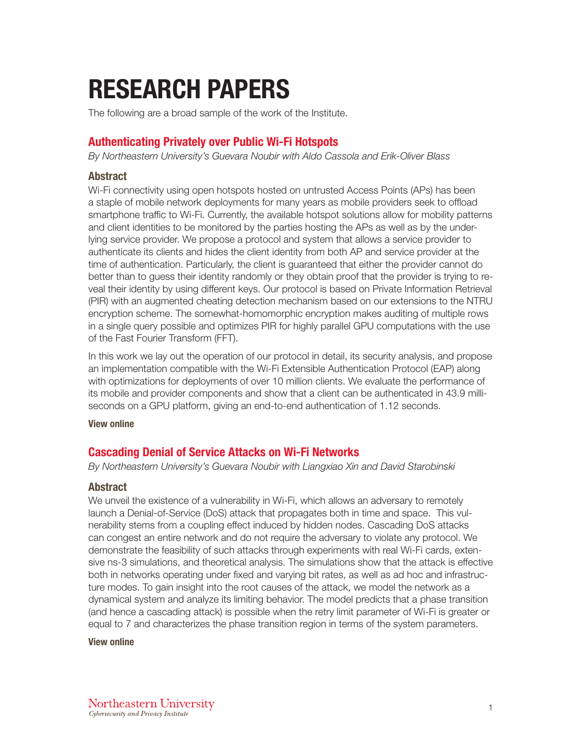# RESEARCH PAPERS

The following are a broad sample of the work of the Institute.

# Authenticating Privately over Public Wi-Fi Hotspots

*By Northeastern University's Guevara Noubir with Aldo Cassola and Erik-Oliver Blass*

## Abstract

Wi-Fi connectivity using open hotspots hosted on untrusted Access Points (APs) has been a staple of mobile network deployments for many years as mobile providers seek to offload smartphone traffic to Wi-Fi. Currently, the available hotspot solutions allow for mobility patterns and client identities to be monitored by the parties hosting the APs as well as by the underlying service provider. We propose a protocol and system that allows a service provider to authenticate its clients and hides the client identity from both AP and service provider at the time of authentication. Particularly, the client is guaranteed that either the provider cannot do better than to guess their identity randomly or they obtain proof that the provider is trying to reveal their identity by using different keys. Our protocol is based on Private Information Retrieval (PIR) with an augmented cheating detection mechanism based on our extensions to the NTRU encryption scheme. The somewhat-homomorphic encryption makes auditing of multiple rows in a single query possible and optimizes PIR for highly parallel GPU computations with the use of the Fast Fourier Transform (FFT).

In this work we lay out the operation of our protocol in detail, its security analysis, and propose an implementation compatible with the Wi-Fi Extensible Authentication Protocol (EAP) along with optimizations for deployments of over 10 million clients. We evaluate the performance of its mobile and provider components and show that a client can be authenticated in 43.9 milliseconds on a GPU platform, giving an end-to-end authentication of 1.12 seconds.

[View online](https://dl.acm.org/citation.cfm?id=2813647)

# Cascading Denial of Service Attacks on Wi-Fi Networks

*By Northeastern University's Guevara Noubir with Liangxiao Xin and David Starobinski*

## Abstract

We unveil the existence of a vulnerability in Wi-Fi, which allows an adversary to remotely launch a Denial-of-Service (DoS) attack that propagates both in time and space. This vulnerability stems from a coupling effect induced by hidden nodes. Cascading DoS attacks can congest an entire network and do not require the adversary to violate any protocol. We demonstrate the feasibility of such attacks through experiments with real Wi-Fi cards, extensive ns-3 simulations, and theoretical analysis. The simulations show that the attack is effective both in networks operating under fixed and varying bit rates, as well as ad hoc and infrastructure modes. To gain insight into the root causes of the attack, we model the network as a dynamical system and analyze its limiting behavior. The model predicts that a phase transition (and hence a cascading attack) is possible when the retry limit parameter of Wi-Fi is greater or equal to 7 and characterizes the phase transition region in terms of the system parameters.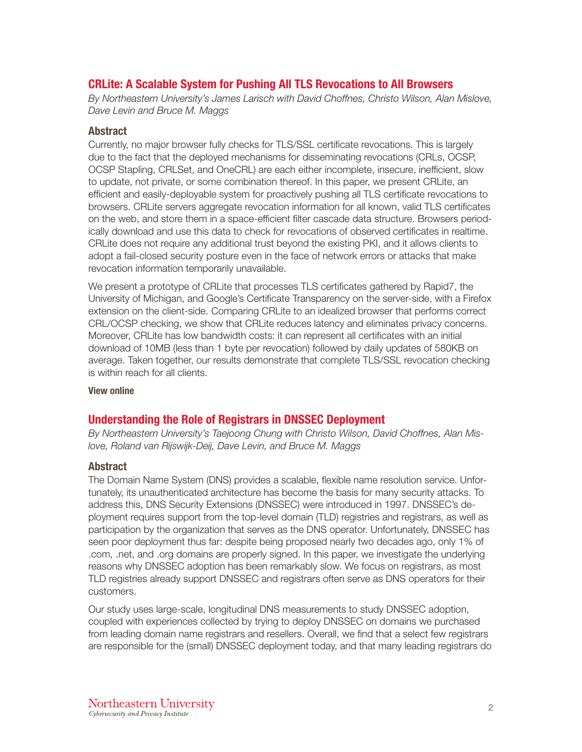# CRLite: A Scalable System for Pushing All TLS Revocations to All Browsers

*By Northeastern University's James Larisch with David Choffnes, Christo Wilson, Alan Mislove, Dave Levin and Bruce M. Maggs*

## Abstract

Currently, no major browser fully checks for TLS/SSL certificate revocations. This is largely due to the fact that the deployed mechanisms for disseminating revocations (CRLs, OCSP, OCSP Stapling, CRLSet, and OneCRL) are each either incomplete, insecure, inefficient, slow to update, not private, or some combination thereof. In this paper, we present CRLite, an efficient and easily-deployable system for proactively pushing all TLS certificate revocations to browsers. CRLite servers aggregate revocation information for all known, valid TLS certificates on the web, and store them in a space-efficient filter cascade data structure. Browsers periodically download and use this data to check for revocations of observed certificates in realtime. CRLite does not require any additional trust beyond the existing PKI, and it allows clients to adopt a fail-closed security posture even in the face of network errors or attacks that make revocation information temporarily unavailable.

We present a prototype of CRLite that processes TLS certificates gathered by Rapid7, the University of Michigan, and Google's Certificate Transparency on the server-side, with a Firefox extension on the client-side. Comparing CRLite to an idealized browser that performs correct CRL/OCSP checking, we show that CRLite reduces latency and eliminates privacy concerns. Moreover, CRLite has low bandwidth costs: it can represent all certificates with an initial download of 10MB (less than 1 byte per revocation) followed by daily updates of 580KB on average. Taken together, our results demonstrate that complete TLS/SSL revocation checking is within reach for all clients.

## [View online](http://ieeexplore.ieee.org/document/7958597/)

# Understanding the Role of Registrars in DNSSEC Deployment

*By Northeastern University's Taejoong Chung with Christo Wilson, David Choffnes, Alan Mislove, Roland van Rijswijk-Deij, Dave Levin, and Bruce M. Maggs*

## Abstract

The Domain Name System (DNS) provides a scalable, flexible name resolution service. Unfortunately, its unauthenticated architecture has become the basis for many security attacks. To address this, DNS Security Extensions (DNSSEC) were introduced in 1997. DNSSEC's deployment requires support from the top-level domain (TLD) registries and registrars, as well as participation by the organization that serves as the DNS operator. Unfortunately, DNSSEC has seen poor deployment thus far: despite being proposed nearly two decades ago, only 1% of .com, .net, and .org domains are properly signed. In this paper, we investigate the underlying reasons why DNSSEC adoption has been remarkably slow. We focus on registrars, as most TLD registries already support DNSSEC and registrars often serve as DNS operators for their customers.

Our study uses large-scale, longitudinal DNS measurements to study DNSSEC adoption, coupled with experiences collected by trying to deploy DNSSEC on domains we purchased from leading domain name registrars and resellers. Overall, we find that a select few registrars are responsible for the (small) DNSSEC deployment today, and that many leading registrars do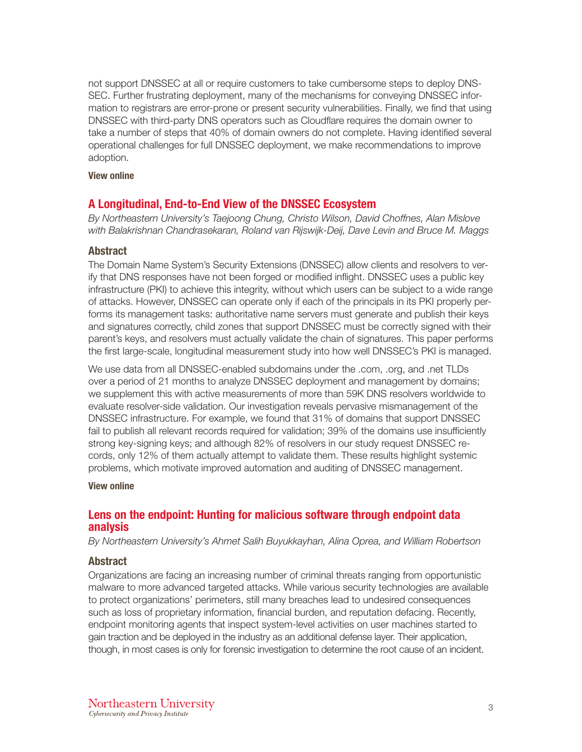not support DNSSEC at all or require customers to take cumbersome steps to deploy DNS-SEC. Further frustrating deployment, many of the mechanisms for conveying DNSSEC information to registrars are error-prone or present security vulnerabilities. Finally, we find that using DNSSEC with third-party DNS operators such as Cloudflare requires the domain owner to take a number of steps that 40% of domain owners do not complete. Having identified several operational challenges for full DNSSEC deployment, we make recommendations to improve adoption.

#### [View online](https://dl.acm.org/citation.cfm?doid=3131365.3131373)

## A Longitudinal, End-to-End View of the DNSSEC Ecosystem

*By Northeastern University's Taejoong Chung, Christo Wilson, David Choffnes, Alan Mislove with Balakrishnan Chandrasekaran, Roland van Rijswijk-Deij, Dave Levin and Bruce M. Maggs*

#### Abstract

The Domain Name System's Security Extensions (DNSSEC) allow clients and resolvers to verify that DNS responses have not been forged or modified inflight. DNSSEC uses a public key infrastructure (PKI) to achieve this integrity, without which users can be subject to a wide range of attacks. However, DNSSEC can operate only if each of the principals in its PKI properly performs its management tasks: authoritative name servers must generate and publish their keys and signatures correctly, child zones that support DNSSEC must be correctly signed with their parent's keys, and resolvers must actually validate the chain of signatures. This paper performs the first large-scale, longitudinal measurement study into how well DNSSEC's PKI is managed.

We use data from all DNSSEC-enabled subdomains under the .com, .org, and .net TLDs over a period of 21 months to analyze DNSSEC deployment and management by domains; we supplement this with active measurements of more than 59K DNS resolvers worldwide to evaluate resolver-side validation. Our investigation reveals pervasive mismanagement of the DNSSEC infrastructure. For example, we found that 31% of domains that support DNSSEC fail to publish all relevant records required for validation; 39% of the domains use insufficiently strong key-signing keys; and although 82% of resolvers in our study request DNSSEC records, only 12% of them actually attempt to validate them. These results highlight systemic problems, which motivate improved automation and auditing of DNSSEC management.

#### [View online](https://www.usenix.org/node/203653)

## Lens on the endpoint: Hunting for malicious software through endpoint data analysis

*By Northeastern University's Ahmet Salih Buyukkayhan, Alina Oprea, and William Robertson*

#### Abstract

Organizations are facing an increasing number of criminal threats ranging from opportunistic malware to more advanced targeted attacks. While various security technologies are available to protect organizations' perimeters, still many breaches lead to undesired consequences such as loss of proprietary information, financial burden, and reputation defacing. Recently, endpoint monitoring agents that inspect system-level activities on user machines started to gain traction and be deployed in the industry as an additional defense layer. Their application, though, in most cases is only for forensic investigation to determine the root cause of an incident.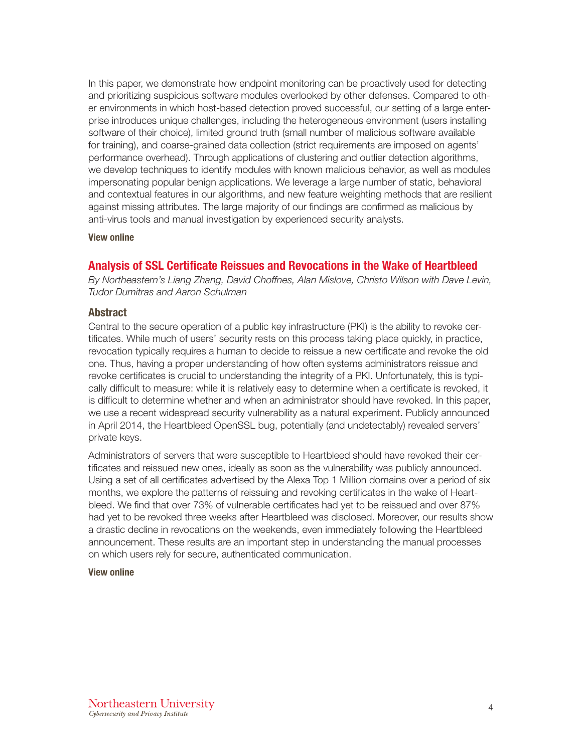In this paper, we demonstrate how endpoint monitoring can be proactively used for detecting and prioritizing suspicious software modules overlooked by other defenses. Compared to other environments in which host-based detection proved successful, our setting of a large enterprise introduces unique challenges, including the heterogeneous environment (users installing software of their choice), limited ground truth (small number of malicious software available for training), and coarse-grained data collection (strict requirements are imposed on agents' performance overhead). Through applications of clustering and outlier detection algorithms, we develop techniques to identify modules with known malicious behavior, as well as modules impersonating popular benign applications. We leverage a large number of static, behavioral and contextual features in our algorithms, and new feature weighting methods that are resilient against missing attributes. The large majority of our findings are confirmed as malicious by anti-virus tools and manual investigation by experienced security analysts.

#### [View online](http://www.ccs.neu.edu/home/alina/papers/Endpoint.pdf)

## Analysis of SSL Certificate Reissues and Revocations in the Wake of Heartbleed

*By Northeastern's Liang Zhang, David Choffnes, Alan Mislove, Christo Wilson with Dave Levin, Tudor Dumitras and Aaron Schulman*

## **Abstract**

Central to the secure operation of a public key infrastructure (PKI) is the ability to revoke certificates. While much of users' security rests on this process taking place quickly, in practice, revocation typically requires a human to decide to reissue a new certificate and revoke the old one. Thus, having a proper understanding of how often systems administrators reissue and revoke certificates is crucial to understanding the integrity of a PKI. Unfortunately, this is typically difficult to measure: while it is relatively easy to determine when a certificate is revoked, it is difficult to determine whether and when an administrator should have revoked. In this paper, we use a recent widespread security vulnerability as a natural experiment. Publicly announced in April 2014, the Heartbleed OpenSSL bug, potentially (and undetectably) revealed servers' private keys.

Administrators of servers that were susceptible to Heartbleed should have revoked their certificates and reissued new ones, ideally as soon as the vulnerability was publicly announced. Using a set of all certificates advertised by the Alexa Top 1 Million domains over a period of six months, we explore the patterns of reissuing and revoking certificates in the wake of Heartbleed. We find that over 73% of vulnerable certificates had yet to be reissued and over 87% had yet to be revoked three weeks after Heartbleed was disclosed. Moreover, our results show a drastic decline in revocations on the weekends, even immediately following the Heartbleed announcement. These results are an important step in understanding the manual processes on which users rely for secure, authenticated communication.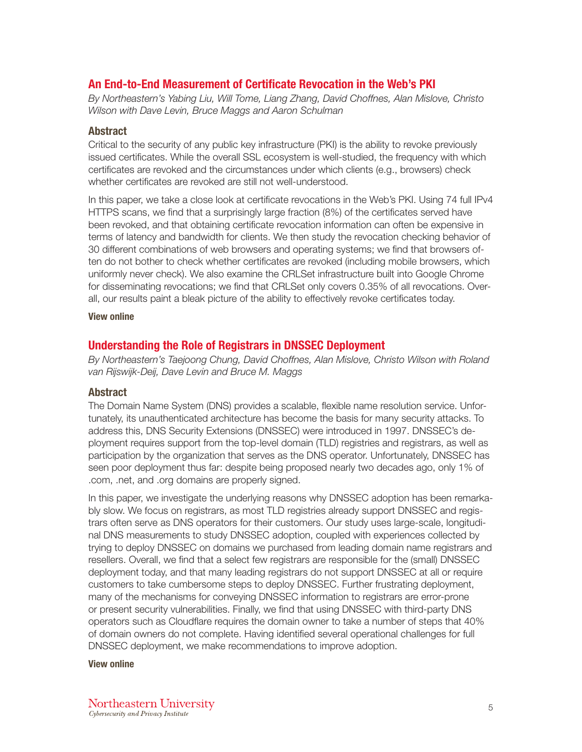# An End-to-End Measurement of Certificate Revocation in the Web's PKI

*By Northeastern's Yabing Liu, Will Tome, Liang Zhang, David Choffnes, Alan Mislove, Christo Wilson with Dave Levin, Bruce Maggs and Aaron Schulman*

## Abstract

Critical to the security of any public key infrastructure (PKI) is the ability to revoke previously issued certificates. While the overall SSL ecosystem is well-studied, the frequency with which certificates are revoked and the circumstances under which clients (e.g., browsers) check whether certificates are revoked are still not well-understood.

In this paper, we take a close look at certificate revocations in the Web's PKI. Using 74 full IPv4 HTTPS scans, we find that a surprisingly large fraction (8%) of the certificates served have been revoked, and that obtaining certificate revocation information can often be expensive in terms of latency and bandwidth for clients. We then study the revocation checking behavior of 30 different combinations of web browsers and operating systems; we find that browsers often do not bother to check whether certificates are revoked (including mobile browsers, which uniformly never check). We also examine the CRLSet infrastructure built into Google Chrome for disseminating revocations; we find that CRLSet only covers 0.35% of all revocations. Overall, our results paint a bleak picture of the ability to effectively revoke certificates today.

#### [View online](http://david.choffnes.com/pubs/SSLClient-IMC15.pdf)

## Understanding the Role of Registrars in DNSSEC Deployment

*By Northeastern's Taejoong Chung, David Choffnes, Alan Mislove, Christo Wilson with Roland van Rijswijk-Deij, Dave Levin and Bruce M. Maggs*

## Abstract

The Domain Name System (DNS) provides a scalable, flexible name resolution service. Unfortunately, its unauthenticated architecture has become the basis for many security attacks. To address this, DNS Security Extensions (DNSSEC) were introduced in 1997. DNSSEC's deployment requires support from the top-level domain (TLD) registries and registrars, as well as participation by the organization that serves as the DNS operator. Unfortunately, DNSSEC has seen poor deployment thus far: despite being proposed nearly two decades ago, only 1% of .com, .net, and .org domains are properly signed.

In this paper, we investigate the underlying reasons why DNSSEC adoption has been remarkably slow. We focus on registrars, as most TLD registries already support DNSSEC and registrars often serve as DNS operators for their customers. Our study uses large-scale, longitudinal DNS measurements to study DNSSEC adoption, coupled with experiences collected by trying to deploy DNSSEC on domains we purchased from leading domain name registrars and resellers. Overall, we find that a select few registrars are responsible for the (small) DNSSEC deployment today, and that many leading registrars do not support DNSSEC at all or require customers to take cumbersome steps to deploy DNSSEC. Further frustrating deployment, many of the mechanisms for conveying DNSSEC information to registrars are error-prone or present security vulnerabilities. Finally, we find that using DNSSEC with third-party DNS operators such as Cloudflare requires the domain owner to take a number of steps that 40% of domain owners do not complete. Having identified several operational challenges for full DNSSEC deployment, we make recommendations to improve adoption.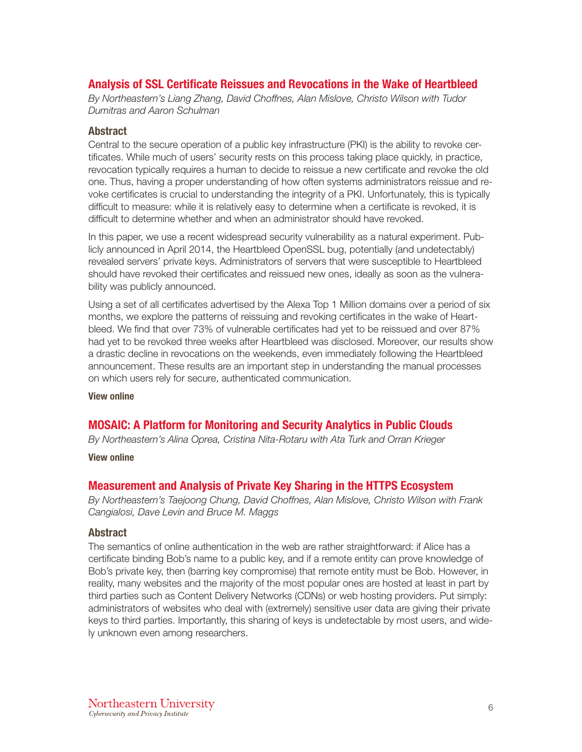# Analysis of SSL Certificate Reissues and Revocations in the Wake of Heartbleed

*By Northeastern's Liang Zhang, David Choffnes, Alan Mislove, Christo Wilson with Tudor Dumitras and Aaron Schulman*

## Abstract

Central to the secure operation of a public key infrastructure (PKI) is the ability to revoke certificates. While much of users' security rests on this process taking place quickly, in practice, revocation typically requires a human to decide to reissue a new certificate and revoke the old one. Thus, having a proper understanding of how often systems administrators reissue and revoke certificates is crucial to understanding the integrity of a PKI. Unfortunately, this is typically difficult to measure: while it is relatively easy to determine when a certificate is revoked, it is difficult to determine whether and when an administrator should have revoked.

In this paper, we use a recent widespread security vulnerability as a natural experiment. Publicly announced in April 2014, the Heartbleed OpenSSL bug, potentially (and undetectably) revealed servers' private keys. Administrators of servers that were susceptible to Heartbleed should have revoked their certificates and reissued new ones, ideally as soon as the vulnerability was publicly announced.

Using a set of all certificates advertised by the Alexa Top 1 Million domains over a period of six months, we explore the patterns of reissuing and revoking certificates in the wake of Heartbleed. We find that over 73% of vulnerable certificates had yet to be reissued and over 87% had yet to be revoked three weeks after Heartbleed was disclosed. Moreover, our results show a drastic decline in revocations on the weekends, even immediately following the Heartbleed announcement. These results are an important step in understanding the manual processes on which users rely for secure, authenticated communication.

[View online](https://dl.acm.org/citation.cfm?id=2663758)

# MOSAIC: A Platform for Monitoring and Security Analytics in Public Clouds

*By Northeastern's Alina Oprea, Cristina Nita-Rotaru with Ata Turk and Orran Krieger*

[View online](http://ieeexplore.ieee.org/document/7839794/)

## Measurement and Analysis of Private Key Sharing in the HTTPS Ecosystem

*By Northeastern's Taejoong Chung, David Choffnes, Alan Mislove, Christo Wilson with Frank Cangialosi, Dave Levin and Bruce M. Maggs*

## **Abstract**

The semantics of online authentication in the web are rather straightforward: if Alice has a certificate binding Bob's name to a public key, and if a remote entity can prove knowledge of Bob's private key, then (barring key compromise) that remote entity must be Bob. However, in reality, many websites and the majority of the most popular ones are hosted at least in part by third parties such as Content Delivery Networks (CDNs) or web hosting providers. Put simply: administrators of websites who deal with (extremely) sensitive user data are giving their private keys to third parties. Importantly, this sharing of keys is undetectable by most users, and widely unknown even among researchers.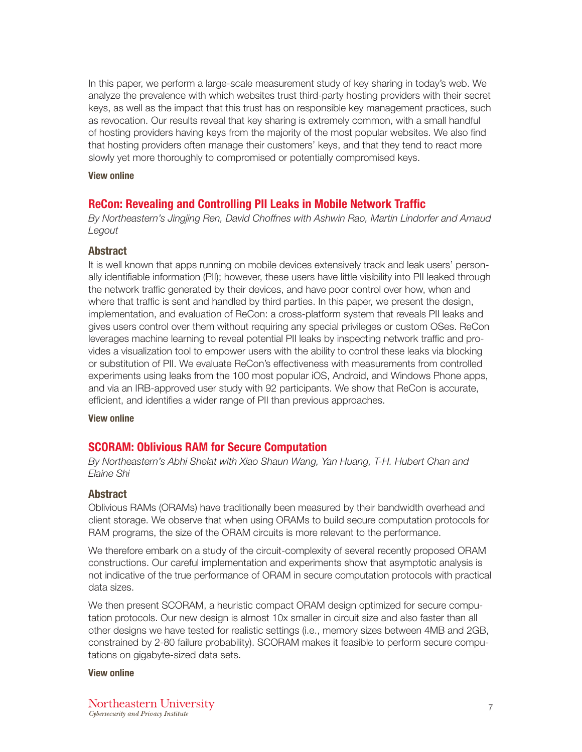In this paper, we perform a large-scale measurement study of key sharing in today's web. We analyze the prevalence with which websites trust third-party hosting providers with their secret keys, as well as the impact that this trust has on responsible key management practices, such as revocation. Our results reveal that key sharing is extremely common, with a small handful of hosting providers having keys from the majority of the most popular websites. We also find that hosting providers often manage their customers' keys, and that they tend to react more slowly yet more thoroughly to compromised or potentially compromised keys.

#### [View online](https://mislove.org/publications/KeySharing-CCS.pdf)

## ReCon: Revealing and Controlling PII Leaks in Mobile Network Traffic

*By Northeastern's Jingjing Ren, David Choffnes with Ashwin Rao, Martin Lindorfer and Arnaud Legout*

## Abstract

It is well known that apps running on mobile devices extensively track and leak users' personally identifiable information (PII); however, these users have little visibility into PII leaked through the network traffic generated by their devices, and have poor control over how, when and where that traffic is sent and handled by third parties. In this paper, we present the design, implementation, and evaluation of ReCon: a cross-platform system that reveals PII leaks and gives users control over them without requiring any special privileges or custom OSes. ReCon leverages machine learning to reveal potential PII leaks by inspecting network traffic and provides a visualization tool to empower users with the ability to control these leaks via blocking or substitution of PII. We evaluate ReCon's effectiveness with measurements from controlled experiments using leaks from the 100 most popular iOS, Android, and Windows Phone apps, and via an IRB-approved user study with 92 participants. We show that ReCon is accurate, efficient, and identifies a wider range of PII than previous approaches.

[View online](https://dl.acm.org/citation.cfm?doid=2906388.2906392)

## SCORAM: Oblivious RAM for Secure Computation

*By Northeastern's Abhi Shelat with Xiao Shaun Wang, Yan Huang, T-H. Hubert Chan and Elaine Shi*

#### Abstract

Oblivious RAMs (ORAMs) have traditionally been measured by their bandwidth overhead and client storage. We observe that when using ORAMs to build secure computation protocols for RAM programs, the size of the ORAM circuits is more relevant to the performance.

We therefore embark on a study of the circuit-complexity of several recently proposed ORAM constructions. Our careful implementation and experiments show that asymptotic analysis is not indicative of the true performance of ORAM in secure computation protocols with practical data sizes.

We then present SCORAM, a heuristic compact ORAM design optimized for secure computation protocols. Our new design is almost 10x smaller in circuit size and also faster than all other designs we have tested for realistic settings (i.e., memory sizes between 4MB and 2GB, constrained by 2-80 failure probability). SCORAM makes it feasible to perform secure computations on gigabyte-sized data sets.

#### [View online](https://dl.acm.org/citation.cfm?id=2660365)

Northeastern University Cybersecurity and Privacy Institute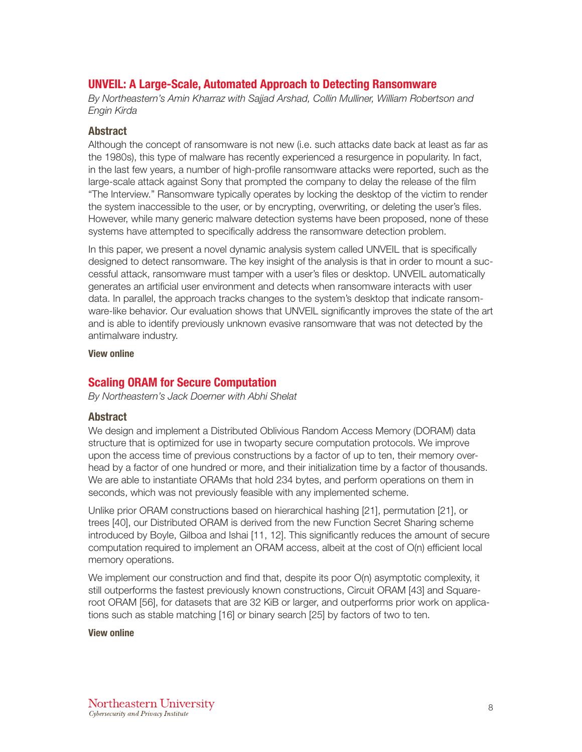# UNVEIL: A Large-Scale, Automated Approach to Detecting Ransomware

*By Northeastern's Amin Kharraz with Sajjad Arshad, Collin Mulliner, William Robertson and Engin Kirda*

## Abstract

Although the concept of ransomware is not new (i.e. such attacks date back at least as far as the 1980s), this type of malware has recently experienced a resurgence in popularity. In fact, in the last few years, a number of high-profile ransomware attacks were reported, such as the large-scale attack against Sony that prompted the company to delay the release of the film "The Interview." Ransomware typically operates by locking the desktop of the victim to render the system inaccessible to the user, or by encrypting, overwriting, or deleting the user's files. However, while many generic malware detection systems have been proposed, none of these systems have attempted to specifically address the ransomware detection problem.

In this paper, we present a novel dynamic analysis system called UNVEIL that is specifically designed to detect ransomware. The key insight of the analysis is that in order to mount a successful attack, ransomware must tamper with a user's files or desktop. UNVEIL automatically generates an artificial user environment and detects when ransomware interacts with user data. In parallel, the approach tracks changes to the system's desktop that indicate ransomware-like behavior. Our evaluation shows that UNVEIL significantly improves the state of the art and is able to identify previously unknown evasive ransomware that was not detected by the antimalware industry.

[View online](http://www.ccs.neu.edu/home/arshad/publications/usenixsec2016unveil.pdf)

## Scaling ORAM for Secure Computation

*By Northeastern's Jack Doerner with Abhi Shelat*

## Abstract

We design and implement a Distributed Oblivious Random Access Memory (DORAM) data structure that is optimized for use in twoparty secure computation protocols. We improve upon the access time of previous constructions by a factor of up to ten, their memory overhead by a factor of one hundred or more, and their initialization time by a factor of thousands. We are able to instantiate ORAMs that hold 234 bytes, and perform operations on them in seconds, which was not previously feasible with any implemented scheme.

Unlike prior ORAM constructions based on hierarchical hashing [21], permutation [21], or trees [40], our Distributed ORAM is derived from the new Function Secret Sharing scheme introduced by Boyle, Gilboa and Ishai [11, 12]. This significantly reduces the amount of secure computation required to implement an ORAM access, albeit at the cost of O(n) efficient local memory operations.

We implement our construction and find that, despite its poor  $O(n)$  asymptotic complexity, it still outperforms the fastest previously known constructions, Circuit ORAM [43] and Squareroot ORAM [56], for datasets that are 32 KiB or larger, and outperforms prior work on applications such as stable matching [16] or binary search [25] by factors of two to ten.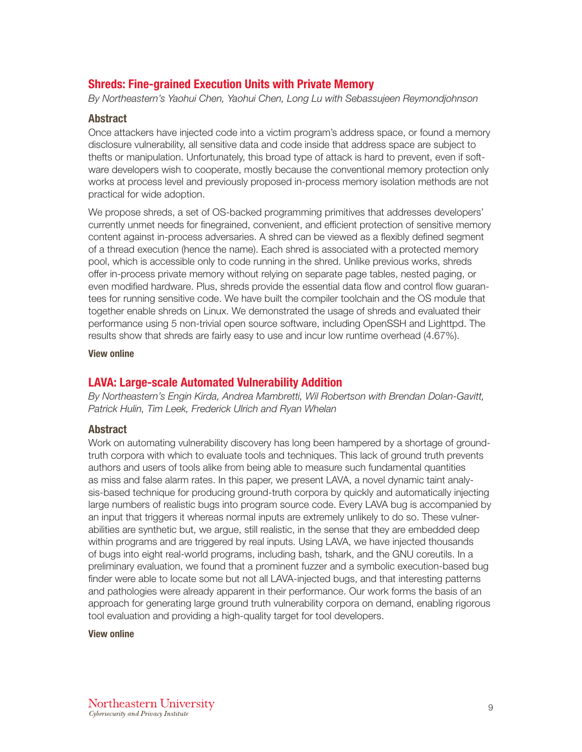# Shreds: Fine-grained Execution Units with Private Memory

*By Northeastern's Yaohui Chen, Yaohui Chen, Long Lu with Sebassujeen Reymondjohnson*

## Abstract

Once attackers have injected code into a victim program's address space, or found a memory disclosure vulnerability, all sensitive data and code inside that address space are subject to thefts or manipulation. Unfortunately, this broad type of attack is hard to prevent, even if software developers wish to cooperate, mostly because the conventional memory protection only works at process level and previously proposed in-process memory isolation methods are not practical for wide adoption.

We propose shreds, a set of OS-backed programming primitives that addresses developers' currently unmet needs for finegrained, convenient, and efficient protection of sensitive memory content against in-process adversaries. A shred can be viewed as a flexibly defined segment of a thread execution (hence the name). Each shred is associated with a protected memory pool, which is accessible only to code running in the shred. Unlike previous works, shreds offer in-process private memory without relying on separate page tables, nested paging, or even modified hardware. Plus, shreds provide the essential data flow and control flow guarantees for running sensitive code. We have built the compiler toolchain and the OS module that together enable shreds on Linux. We demonstrated the usage of shreds and evaluated their performance using 5 non-trivial open source software, including OpenSSH and Lighttpd. The results show that shreds are fairly easy to use and incur low runtime overhead (4.67%).

[View online](https://www.longlu.org/downloads/shreds_oakland16.pdf)

# LAVA: Large-scale Automated Vulnerability Addition

*By Northeastern's Engin Kirda, Andrea Mambretti, Wil Robertson with Brendan Dolan-Gavitt, Patrick Hulin, Tim Leek, Frederick Ulrich and Ryan Whelan*

## Abstract

Work on automating vulnerability discovery has long been hampered by a shortage of groundtruth corpora with which to evaluate tools and techniques. This lack of ground truth prevents authors and users of tools alike from being able to measure such fundamental quantities as miss and false alarm rates. In this paper, we present LAVA, a novel dynamic taint analysis-based technique for producing ground-truth corpora by quickly and automatically injecting large numbers of realistic bugs into program source code. Every LAVA bug is accompanied by an input that triggers it whereas normal inputs are extremely unlikely to do so. These vulnerabilities are synthetic but, we argue, still realistic, in the sense that they are embedded deep within programs and are triggered by real inputs. Using LAVA, we have injected thousands of bugs into eight real-world programs, including bash, tshark, and the GNU coreutils. In a preliminary evaluation, we found that a prominent fuzzer and a symbolic execution-based bug finder were able to locate some but not all LAVA-injected bugs, and that interesting patterns and pathologies were already apparent in their performance. Our work forms the basis of an approach for generating large ground truth vulnerability corpora on demand, enabling rigorous tool evaluation and providing a high-quality target for tool developers.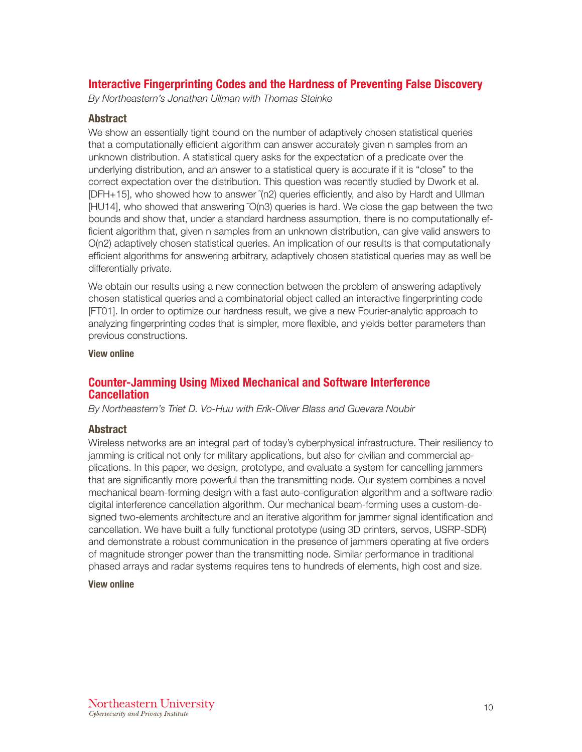# Interactive Fingerprinting Codes and the Hardness of Preventing False Discovery

*By Northeastern's Jonathan Ullman with Thomas Steinke*

## Abstract

We show an essentially tight bound on the number of adaptively chosen statistical queries that a computationally efficient algorithm can answer accurately given n samples from an unknown distribution. A statistical query asks for the expectation of a predicate over the underlying distribution, and an answer to a statistical query is accurate if it is "close" to the correct expectation over the distribution. This question was recently studied by Dwork et al. [DFH+15], who showed how to answer (n2) queries efficiently, and also by Hardt and Ullman [HU14], who showed that answering ˜O(n3) queries is hard. We close the gap between the two bounds and show that, under a standard hardness assumption, there is no computationally efficient algorithm that, given n samples from an unknown distribution, can give valid answers to O(n2) adaptively chosen statistical queries. An implication of our results is that computationally efficient algorithms for answering arbitrary, adaptively chosen statistical queries may as well be differentially private.

We obtain our results using a new connection between the problem of answering adaptively chosen statistical queries and a combinatorial object called an interactive fingerprinting code [FT01]. In order to optimize our hardness result, we give a new Fourier-analytic approach to analyzing fingerprinting codes that is simpler, more flexible, and yields better parameters than previous constructions.

[View online](https://arxiv.org/abs/1410.1228)

## Counter-Jamming Using Mixed Mechanical and Software Interference **Cancellation**

*By Northeastern's Triet D. Vo-Huu with Erik-Oliver Blass and Guevara Noubir*

## Abstract

Wireless networks are an integral part of today's cyberphysical infrastructure. Their resiliency to jamming is critical not only for military applications, but also for civilian and commercial applications. In this paper, we design, prototype, and evaluate a system for cancelling jammers that are significantly more powerful than the transmitting node. Our system combines a novel mechanical beam-forming design with a fast auto-configuration algorithm and a software radio digital interference cancellation algorithm. Our mechanical beam-forming uses a custom-designed two-elements architecture and an iterative algorithm for jammer signal identification and cancellation. We have built a fully functional prototype (using 3D printers, servos, USRP-SDR) and demonstrate a robust communication in the presence of jammers operating at five orders of magnitude stronger power than the transmitting node. Similar performance in traditional phased arrays and radar systems requires tens to hundreds of elements, high cost and size.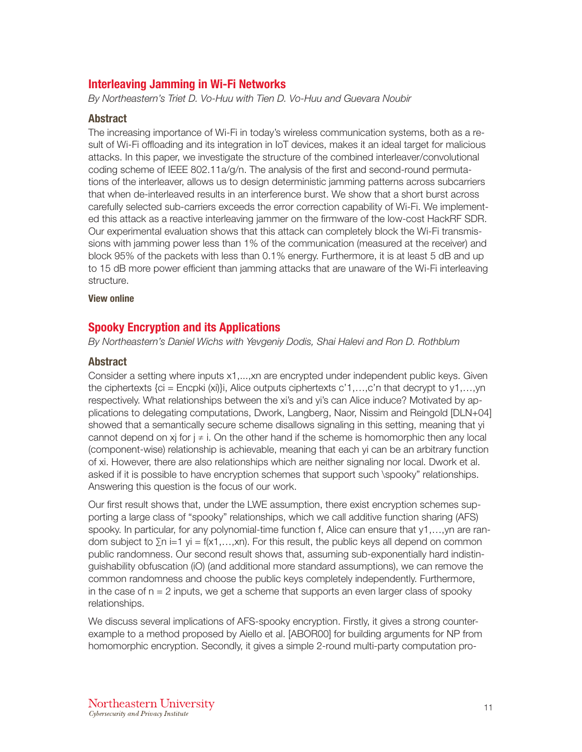# Interleaving Jamming in Wi-Fi Networks

*By Northeastern's Triet D. Vo-Huu with Tien D. Vo-Huu and Guevara Noubir*

## Abstract

The increasing importance of Wi-Fi in today's wireless communication systems, both as a result of Wi-Fi offloading and its integration in IoT devices, makes it an ideal target for malicious attacks. In this paper, we investigate the structure of the combined interleaver/convolutional coding scheme of IEEE 802.11a/g/n. The analysis of the first and second-round permutations of the interleaver, allows us to design deterministic jamming patterns across subcarriers that when de-interleaved results in an interference burst. We show that a short burst across carefully selected sub-carriers exceeds the error correction capability of Wi-Fi. We implemented this attack as a reactive interleaving jammer on the firmware of the low-cost HackRF SDR. Our experimental evaluation shows that this attack can completely block the Wi-Fi transmissions with jamming power less than 1% of the communication (measured at the receiver) and block 95% of the packets with less than 0.1% energy. Furthermore, it is at least 5 dB and up to 15 dB more power efficient than jamming attacks that are unaware of the Wi-Fi interleaving structure.

[View online](https://dl.acm.org/citation.cfm?id=2939935)

## Spooky Encryption and its Applications

*By Northeastern's Daniel Wichs with Yevgeniy Dodis, Shai Halevi and Ron D. Rothblum*

## Abstract

Consider a setting where inputs x1,...,xn are encrypted under independent public keys. Given the ciphertexts  $\{ci = \text{Encpki}(x_i)\}\$ i, Alice outputs ciphertexts c'1,...,c'n that decrypt to  $y_1, \ldots, y_n$ respectively. What relationships between the xi's and yi's can Alice induce? Motivated by applications to delegating computations, Dwork, Langberg, Naor, Nissim and Reingold [DLN+04] showed that a semantically secure scheme disallows signaling in this setting, meaning that yi cannot depend on xj for  $j \neq i$ . On the other hand if the scheme is homomorphic then any local (component-wise) relationship is achievable, meaning that each yi can be an arbitrary function of xi. However, there are also relationships which are neither signaling nor local. Dwork et al. asked if it is possible to have encryption schemes that support such \spooky" relationships. Answering this question is the focus of our work.

Our first result shows that, under the LWE assumption, there exist encryption schemes supporting a large class of "spooky" relationships, which we call additive function sharing (AFS) spooky. In particular, for any polynomial-time function f, Alice can ensure that y1,...,yn are random subject to  $\Sigma$ n i=1 yi = f(x1,...,xn). For this result, the public keys all depend on common public randomness. Our second result shows that, assuming sub-exponentially hard indistinguishability obfuscation (iO) (and additional more standard assumptions), we can remove the common randomness and choose the public keys completely independently. Furthermore, in the case of  $n = 2$  inputs, we get a scheme that supports an even larger class of spooky relationships.

We discuss several implications of AFS-spooky encryption. Firstly, it gives a strong counterexample to a method proposed by Aiello et al. [ABOR00] for building arguments for NP from homomorphic encryption. Secondly, it gives a simple 2-round multi-party computation pro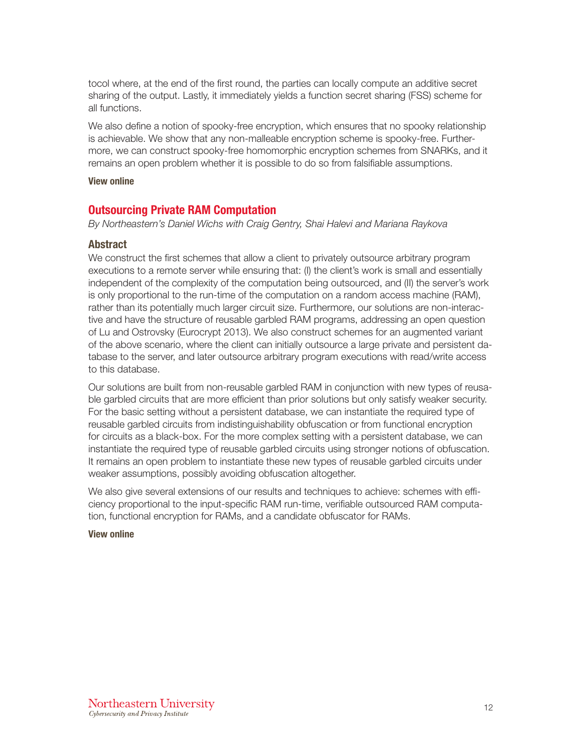tocol where, at the end of the first round, the parties can locally compute an additive secret sharing of the output. Lastly, it immediately yields a function secret sharing (FSS) scheme for all functions.

We also define a notion of spooky-free encryption, which ensures that no spooky relationship is achievable. We show that any non-malleable encryption scheme is spooky-free. Furthermore, we can construct spooky-free homomorphic encryption schemes from SNARKs, and it remains an open problem whether it is possible to do so from falsifiable assumptions.

#### [View online](https://eprint.iacr.org/2016/272.pdf)

## Outsourcing Private RAM Computation

*By Northeastern's Daniel Wichs with Craig Gentry, Shai Halevi and Mariana Raykova*

## Abstract

We construct the first schemes that allow a client to privately outsource arbitrary program executions to a remote server while ensuring that: (I) the client's work is small and essentially independent of the complexity of the computation being outsourced, and (II) the server's work is only proportional to the run-time of the computation on a random access machine (RAM), rather than its potentially much larger circuit size. Furthermore, our solutions are non-interactive and have the structure of reusable garbled RAM programs, addressing an open question of Lu and Ostrovsky (Eurocrypt 2013). We also construct schemes for an augmented variant of the above scenario, where the client can initially outsource a large private and persistent database to the server, and later outsource arbitrary program executions with read/write access to this database.

Our solutions are built from non-reusable garbled RAM in conjunction with new types of reusable garbled circuits that are more efficient than prior solutions but only satisfy weaker security. For the basic setting without a persistent database, we can instantiate the required type of reusable garbled circuits from indistinguishability obfuscation or from functional encryption for circuits as a black-box. For the more complex setting with a persistent database, we can instantiate the required type of reusable garbled circuits using stronger notions of obfuscation. It remains an open problem to instantiate these new types of reusable garbled circuits under weaker assumptions, possibly avoiding obfuscation altogether.

We also give several extensions of our results and techniques to achieve: schemes with efficiency proportional to the input-specific RAM run-time, verifiable outsourced RAM computation, functional encryption for RAMs, and a candidate obfuscator for RAMs.